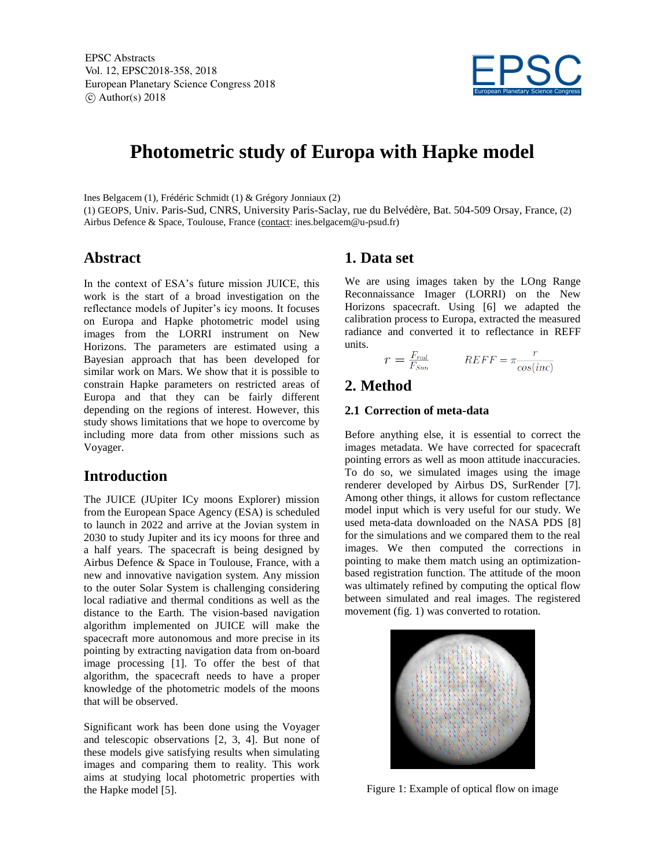EPSC Abstracts Vol. 12, EPSC2018-358, 2018 European Planetary Science Congress 2018  $\circ$  Author(s) 2018



# **Photometric study of Europa with Hapke model**

Ines Belgacem (1), Frédéric Schmidt (1) & Grégory Jonniaux (2)

(1) GEOPS, Univ. Paris-Sud, CNRS, University Paris-Saclay, rue du Belvédère, Bat. 504-509 Orsay, France, (2) Airbus Defence & Space, Toulouse, France (contact: ines.belgacem@u-psud.fr)

### **Abstract**

In the context of ESA's future mission JUICE, this work is the start of a broad investigation on the reflectance models of Jupiter's icy moons. It focuses on Europa and Hapke photometric model using images from the LORRI instrument on New Horizons. The parameters are estimated using a Bayesian approach that has been developed for similar work on Mars. We show that it is possible to constrain Hapke parameters on restricted areas of Europa and that they can be fairly different depending on the regions of interest. However, this study shows limitations that we hope to overcome by including more data from other missions such as Voyager.

### **Introduction**

The JUICE (JUpiter ICy moons Explorer) mission from the European Space Agency (ESA) is scheduled to launch in 2022 and arrive at the Jovian system in 2030 to study Jupiter and its icy moons for three and a half years. The spacecraft is being designed by Airbus Defence & Space in Toulouse, France, with a new and innovative navigation system. Any mission to the outer Solar System is challenging considering local radiative and thermal conditions as well as the distance to the Earth. The vision-based navigation algorithm implemented on JUICE will make the spacecraft more autonomous and more precise in its pointing by extracting navigation data from on-board image processing [1]. To offer the best of that algorithm, the spacecraft needs to have a proper knowledge of the photometric models of the moons that will be observed.

Significant work has been done using the Voyager and telescopic observations [2, 3, 4]. But none of these models give satisfying results when simulating images and comparing them to reality. This work aims at studying local photometric properties with the Hapke model [5].

### **1. Data set**

We are using images taken by the LOng Range Reconnaissance Imager (LORRI) on the New Horizons spacecraft. Using [6] we adapted the calibration process to Europa, extracted the measured radiance and converted it to reflectance in REFF units.

$$
r = \frac{F_{rad}}{F_{Sun}} \qquad REF = \pi \frac{r}{\cos(inc)}
$$

### **2. Method**

#### **2.1 Correction of meta-data**

Before anything else, it is essential to correct the images metadata. We have corrected for spacecraft pointing errors as well as moon attitude inaccuracies. To do so, we simulated images using the image renderer developed by Airbus DS, SurRender [7]. Among other things, it allows for custom reflectance model input which is very useful for our study. We used meta-data downloaded on the NASA PDS [8] for the simulations and we compared them to the real images. We then computed the corrections in pointing to make them match using an optimizationbased registration function. The attitude of the moon was ultimately refined by computing the optical flow between simulated and real images. The registered movement (fig. 1) was converted to rotation.



Figure 1: Example of optical flow on image